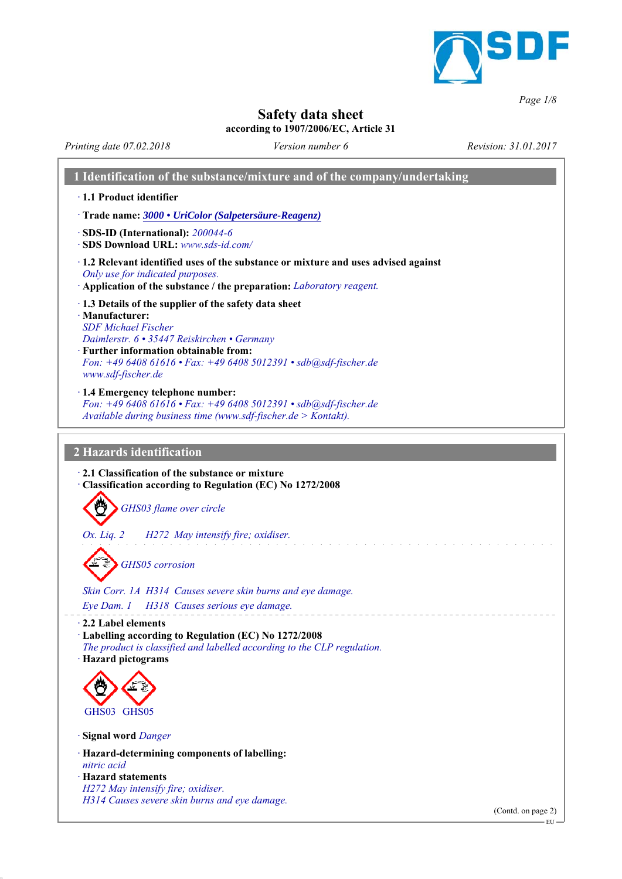

*Page 1/8*

## **Safety data sheet**

### **according to 1907/2006/EC, Article 31**

*Printing date 07.02.2018 Revision: 31.01.2017 Version number 6*

| 1 Identification of the substance/mixture and of the company/undertaking                                                                                                                                                                                                                       |                    |
|------------------------------------------------------------------------------------------------------------------------------------------------------------------------------------------------------------------------------------------------------------------------------------------------|--------------------|
| · 1.1 Product identifier                                                                                                                                                                                                                                                                       |                    |
| Trade name: 3000 • UriColor (Salpetersäure-Reagenz)                                                                                                                                                                                                                                            |                    |
| $\cdot$ SDS-ID (International): 200044-6<br>SDS Download URL: www.sds-id.com/                                                                                                                                                                                                                  |                    |
| · 1.2 Relevant identified uses of the substance or mixture and uses advised against<br>Only use for indicated purposes.<br>· Application of the substance / the preparation: Laboratory reagent.                                                                                               |                    |
| 1.3 Details of the supplier of the safety data sheet<br>· Manufacturer:<br><b>SDF</b> Michael Fischer<br>Daimlerstr. 6 · 35447 Reiskirchen • Germany<br>$\cdot$ Further information obtainable from:<br>Fon: +49 6408 61616 · Fax: +49 6408 5012391 · sdb@sdf-fischer.de<br>www.sdf-fischer.de |                    |
| · 1.4 Emergency telephone number:<br>Fon: +49 6408 61616 • Fax: +49 6408 5012391 • sdb@sdf-fischer.de<br>Available during business time (www.sdf-fischer.de > Kontakt).                                                                                                                        |                    |
| 2 Hazards identification                                                                                                                                                                                                                                                                       |                    |
| 2.1 Classification of the substance or mixture<br>Classification according to Regulation (EC) No 1272/2008<br>GHS03 flame over circle<br>Ox. Liq. 2 H272 May intensify fire; oxidiser.<br><b>GHS05</b> corrosion<br>Skin Corr. 1A H314 Causes severe skin burns and eye damage.                |                    |
| Eye Dam. 1   H318   Causes serious eye damage.                                                                                                                                                                                                                                                 |                    |
| 2.2 Label elements<br>· Labelling according to Regulation (EC) No 1272/2008<br>The product is classified and labelled according to the CLP regulation.<br>· Hazard pictograms                                                                                                                  |                    |
|                                                                                                                                                                                                                                                                                                |                    |
| GHS03 GHS05                                                                                                                                                                                                                                                                                    |                    |
| Signal word Danger                                                                                                                                                                                                                                                                             |                    |
| · Hazard-determining components of labelling:<br>nitric acid                                                                                                                                                                                                                                   |                    |
| · Hazard statements<br>H272 May intensify fire; oxidiser.                                                                                                                                                                                                                                      |                    |
| H314 Causes severe skin burns and eye damage.                                                                                                                                                                                                                                                  | (Contd. on page 2) |
|                                                                                                                                                                                                                                                                                                |                    |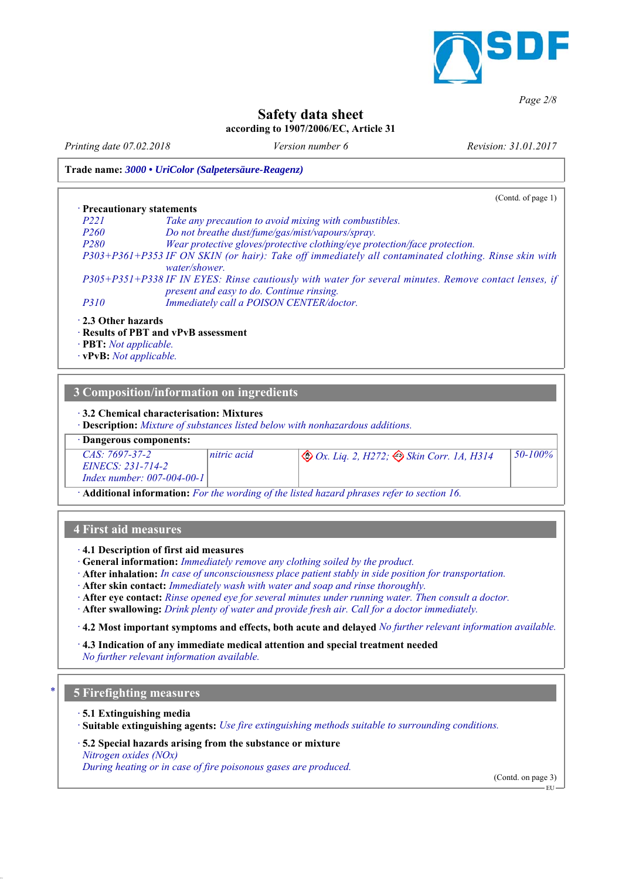

### *Page 2/8*

## **Safety data sheet**

## **according to 1907/2006/EC, Article 31**

*Printing date 07.02.2018 Revision: 31.01.2017 Version number 6*

### **Trade name:** *3000 • UriColor (Salpetersäure-Reagenz)*

|                                                                                                                  | (Contd. of page 1) $\vert$                                                                                                                           |
|------------------------------------------------------------------------------------------------------------------|------------------------------------------------------------------------------------------------------------------------------------------------------|
| • Precautionary statements                                                                                       |                                                                                                                                                      |
| P <sub>22</sub> 1                                                                                                | Take any precaution to avoid mixing with combustibles.                                                                                               |
| P <sub>260</sub>                                                                                                 | Do not breathe dust/fume/gas/mist/vapours/spray.                                                                                                     |
| P <sub>280</sub>                                                                                                 | Wear protective gloves/protective clothing/eye protection/face protection.                                                                           |
|                                                                                                                  | P303+P361+P353 IF ON SKIN (or hair): Take off immediately all contaminated clothing. Rinse skin with<br>water/shower.                                |
|                                                                                                                  | $P305+P351+P338$ IF IN EYES: Rinse cautiously with water for several minutes. Remove contact lenses, if<br>present and easy to do. Continue rinsing. |
| P310                                                                                                             | Immediately call a POISON CENTER/doctor.                                                                                                             |
| $\cdot$ 2.3 Other hazards<br>$\cdot$ <b>PBT</b> : <i>Not applicable.</i><br>$\cdot$ vPvB: <i>Not applicable.</i> | · Results of PBT and vPvB assessment                                                                                                                 |

# **3 Composition/information on ingredients**

### *ꞏ* **3.2 Chemical characterisation: Mixtures**

*ꞏ* **Description:** *Mixture of substances listed below with nonhazardous additions.*

### *ꞏ* **Dangerous components:**

| $CAS: 7697-37-2$             | nitric acid | $\otimes$ Ox. Liq. 2, H272; $\otimes$ Skin Corr. 1A, H314 | 50-100% |
|------------------------------|-------------|-----------------------------------------------------------|---------|
| EINECS: 231-714-2            |             |                                                           |         |
| Index number: $007-004-00-1$ |             |                                                           |         |

*ꞏ* **Additional information:** *For the wording of the listed hazard phrases refer to section 16.*

### **4 First aid measures**

- *ꞏ* **4.1 Description of first aid measures**
- *ꞏ* **General information:** *Immediately remove any clothing soiled by the product.*
- *ꞏ* **After inhalation:** *In case of unconsciousness place patient stably in side position for transportation.*
- *ꞏ* **After skin contact:** *Immediately wash with water and soap and rinse thoroughly.*
- *ꞏ* **After eye contact:** *Rinse opened eye for several minutes under running water. Then consult a doctor.*
- *ꞏ* **After swallowing:** *Drink plenty of water and provide fresh air. Call for a doctor immediately.*

*ꞏ* **4.2 Most important symptoms and effects, both acute and delayed** *No further relevant information available.*

*ꞏ* **4.3 Indication of any immediate medical attention and special treatment needed**

## *No further relevant information available.*

## *\** **5 Firefighting measures**

### *ꞏ* **5.1 Extinguishing media**

*ꞏ* **Suitable extinguishing agents:** *Use fire extinguishing methods suitable to surrounding conditions.*

#### *ꞏ* **5.2 Special hazards arising from the substance or mixture**

*Nitrogen oxides (NOx) During heating or in case of fire poisonous gases are produced.*

(Contd. on page 3)

EU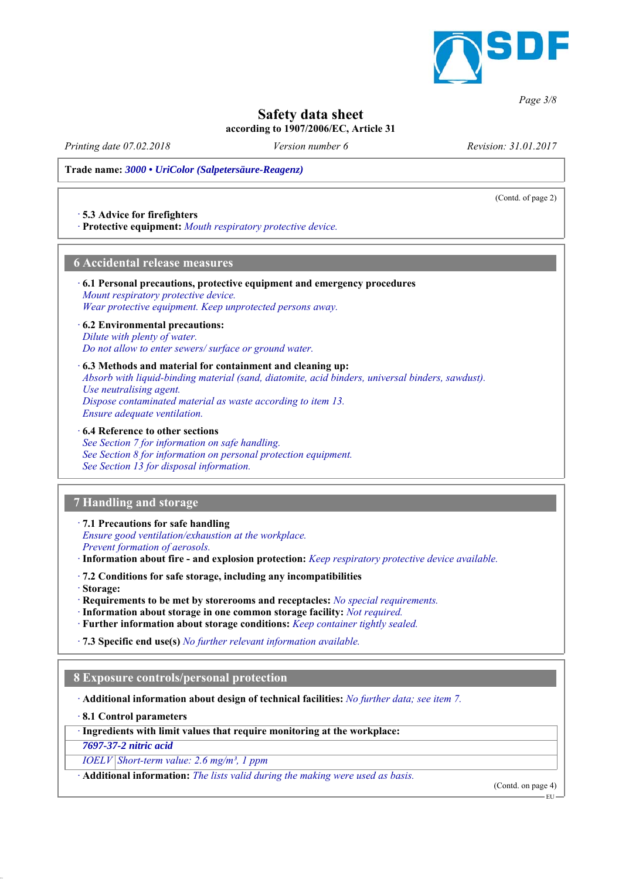

## **Safety data sheet**

**according to 1907/2006/EC, Article 31**

*Printing date 07.02.2018 Revision: 31.01.2017 Version number 6*

(Contd. of page 2)

*Page 3/8*

**Trade name:** *3000 • UriColor (Salpetersäure-Reagenz)*

### *ꞏ* **5.3 Advice for firefighters**

*ꞏ* **Protective equipment:** *Mouth respiratory protective device.*

### **6 Accidental release measures**

#### *ꞏ* **6.1 Personal precautions, protective equipment and emergency procedures** *Mount respiratory protective device. Wear protective equipment. Keep unprotected persons away.*

*ꞏ* **6.2 Environmental precautions:** *Dilute with plenty of water. Do not allow to enter sewers/ surface or ground water.*

#### *ꞏ* **6.3 Methods and material for containment and cleaning up:**

*Absorb with liquid-binding material (sand, diatomite, acid binders, universal binders, sawdust). Use neutralising agent. Dispose contaminated material as waste according to item 13. Ensure adequate ventilation.*

### *ꞏ* **6.4 Reference to other sections**

*See Section 7 for information on safe handling. See Section 8 for information on personal protection equipment. See Section 13 for disposal information.*

## **7 Handling and storage**

*ꞏ* **7.1 Precautions for safe handling**

*Ensure good ventilation/exhaustion at the workplace. Prevent formation of aerosols.*

*ꞏ* **Information about fire - and explosion protection:** *Keep respiratory protective device available.*

*ꞏ* **7.2 Conditions for safe storage, including any incompatibilities**

*ꞏ* **Storage:**

*ꞏ* **Requirements to be met by storerooms and receptacles:** *No special requirements.*

- *ꞏ* **Information about storage in one common storage facility:** *Not required.*
- *ꞏ* **Further information about storage conditions:** *Keep container tightly sealed.*

*ꞏ* **7.3 Specific end use(s)** *No further relevant information available.*

## **8 Exposure controls/personal protection**

*ꞏ* **Additional information about design of technical facilities:** *No further data; see item 7.*

*ꞏ* **8.1 Control parameters**

*ꞏ* **Ingredients with limit values that require monitoring at the workplace:**

*7697-37-2 nitric acid*

*IOELV Short-term value: 2.6 mg/m³, 1 ppm*

*ꞏ* **Additional information:** *The lists valid during the making were used as basis.*

(Contd. on page 4)

EU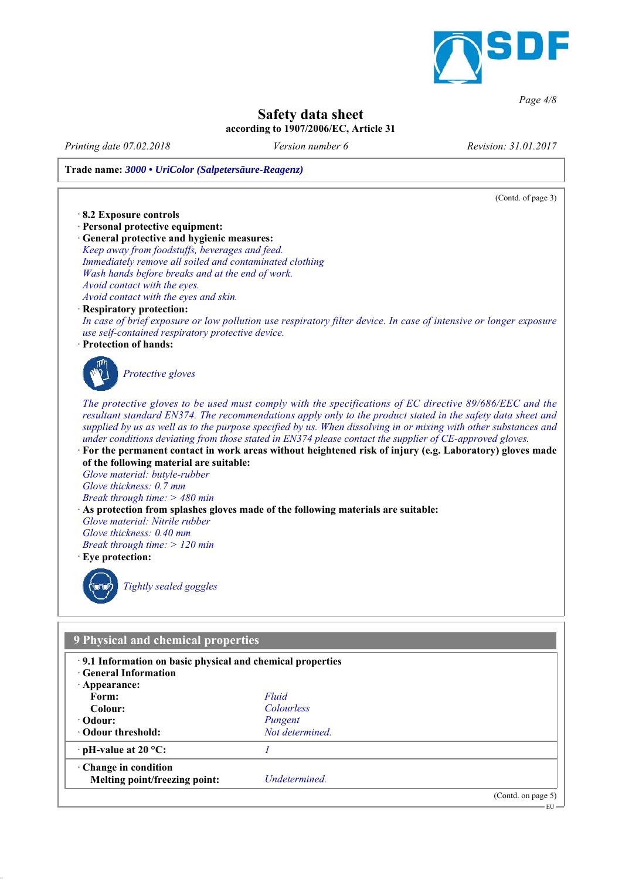

*Page 4/8*

## **Safety data sheet**

## **according to 1907/2006/EC, Article 31**

*Printing date 07.02.2018 Revision: 31.01.2017 Version number 6*

## **Trade name:** *3000 • UriColor (Salpetersäure-Reagenz)*

(Contd. of page 3) *ꞏ* **8.2 Exposure controls** *ꞏ* **Personal protective equipment:** *ꞏ* **General protective and hygienic measures:** *Keep away from foodstuffs, beverages and feed. Immediately remove all soiled and contaminated clothing Wash hands before breaks and at the end of work. Avoid contact with the eyes. Avoid contact with the eyes and skin. ꞏ* **Respiratory protection:** *In case of brief exposure or low pollution use respiratory filter device. In case of intensive or longer exposure use self-contained respiratory protective device. ꞏ* **Protection of hands:** *Protective gloves The protective gloves to be used must comply with the specifications of EC directive 89/686/EEC and the resultant standard EN374. The recommendations apply only to the product stated in the safety data sheet and supplied by us as well as to the purpose specified by us. When dissolving in or mixing with other substances and under conditions deviating from those stated in EN374 please contact the supplier of CE-approved gloves. ꞏ* **For the permanent contact in work areas without heightened risk of injury (e.g. Laboratory) gloves made of the following material are suitable:** *Glove material: butyle-rubber Glove thickness: 0.7 mm Break through time: > 480 min ꞏ* **As protection from splashes gloves made of the following materials are suitable:** *Glove material: Nitrile rubber Glove thickness: 0.40 mm Break through time: > 120 min ꞏ* **Eye protection:** *Tightly sealed goggles* **9 Physical and chemical properties** *ꞏ* **9.1 Information on basic physical and chemical properties** *ꞏ* **General Information** *ꞏ* **Appearance: Form:** *Fluid* **Colour:** *Colourless* **Odour:** *Pungent <u>Odour threshold: <i>Not determined.*</u>

*ꞏ* **pH-value at 20 °C:** *1 ꞏ* **Change in condition**

**Melting point/freezing point:** *Undetermined.*

(Contd. on page 5)

 $-EU$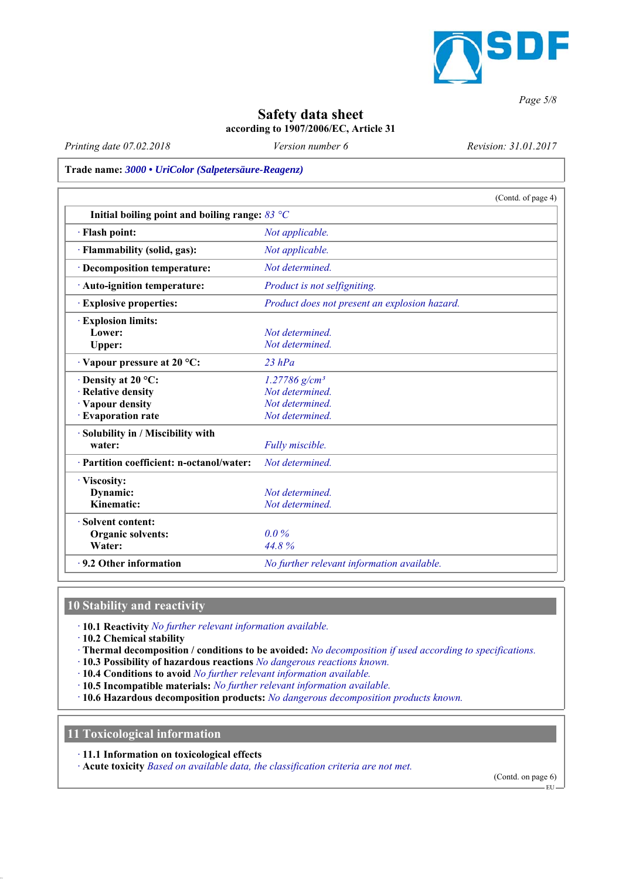

*Page 5/8*

## **Safety data sheet**

**according to 1907/2006/EC, Article 31**

*Printing date 07.02.2018 Revision: 31.01.2017 Version number 6*

**Trade name:** *3000 • UriColor (Salpetersäure-Reagenz)*

|                                                                 | (Contd. of page 4)                            |
|-----------------------------------------------------------------|-----------------------------------------------|
| Initial boiling point and boiling range: $83 \text{ }^{\circ}C$ |                                               |
| · Flash point:                                                  | Not applicable.                               |
| · Flammability (solid, gas):                                    | Not applicable.                               |
| · Decomposition temperature:                                    | Not determined.                               |
| $\cdot$ Auto-ignition temperature:                              | Product is not selfigniting.                  |
| <b>Explosive properties:</b>                                    | Product does not present an explosion hazard. |
| <b>Explosion limits:</b>                                        |                                               |
| Lower:                                                          | Not determined.                               |
| Upper:                                                          | Not determined.                               |
| $\cdot$ Vapour pressure at 20 °C:                               | $23$ $hPa$                                    |
| $\cdot$ Density at 20 °C:                                       | $1.27786$ g/cm <sup>3</sup>                   |
| · Relative density                                              | Not determined.                               |
| · Vapour density                                                | Not determined.                               |
| · Evaporation rate                                              | Not determined.                               |
| · Solubility in / Miscibility with                              |                                               |
| water:                                                          | Fully miscible.                               |
| · Partition coefficient: n-octanol/water:                       | Not determined.                               |
| · Viscosity:                                                    |                                               |
| Dynamic:                                                        | Not determined.                               |
| Kinematic:                                                      | Not determined.                               |
| · Solvent content:                                              |                                               |
| Organic solvents:                                               | $0.0\%$                                       |
| Water:                                                          | 44.8%                                         |
| $\cdot$ 9.2 Other information                                   | No further relevant information available.    |

## **10 Stability and reactivity**

*ꞏ* **10.1 Reactivity** *No further relevant information available.*

*ꞏ* **10.2 Chemical stability**

- *ꞏ* **Thermal decomposition / conditions to be avoided:** *No decomposition if used according to specifications.*
- *ꞏ* **10.3 Possibility of hazardous reactions** *No dangerous reactions known.*
- *ꞏ* **10.4 Conditions to avoid** *No further relevant information available.*
- *ꞏ* **10.5 Incompatible materials:** *No further relevant information available.*
- *ꞏ* **10.6 Hazardous decomposition products:** *No dangerous decomposition products known.*

**11 Toxicological information**

*ꞏ* **11.1 Information on toxicological effects**

*ꞏ* **Acute toxicity** *Based on available data, the classification criteria are not met.*

(Contd. on page 6)

EU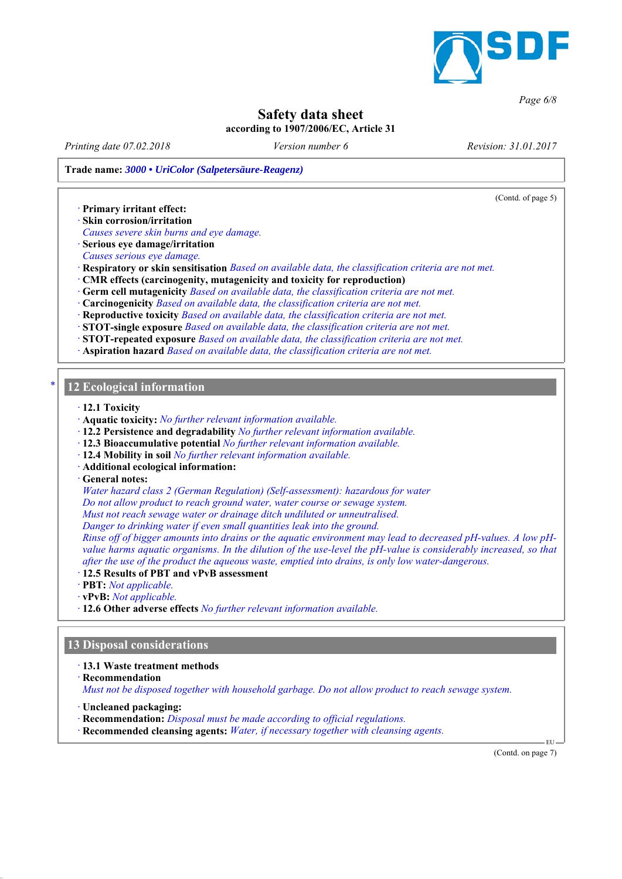

### *Page 6/8*

## **Safety data sheet**

**according to 1907/2006/EC, Article 31**

*Printing date 07.02.2018 Revision: 31.01.2017 Version number 6*

**Trade name:** *3000 • UriColor (Salpetersäure-Reagenz)*

(Contd. of page 5)

*ꞏ* **Primary irritant effect:**

*ꞏ* **Skin corrosion/irritation**

*Causes severe skin burns and eye damage.*

*ꞏ* **Serious eye damage/irritation**

*Causes serious eye damage.*

*ꞏ* **Respiratory or skin sensitisation** *Based on available data, the classification criteria are not met.*

- *ꞏ* **CMR effects (carcinogenity, mutagenicity and toxicity for reproduction)**
- *ꞏ* **Germ cell mutagenicity** *Based on available data, the classification criteria are not met.*
- *ꞏ* **Carcinogenicity** *Based on available data, the classification criteria are not met.*
- *ꞏ* **Reproductive toxicity** *Based on available data, the classification criteria are not met.*

*ꞏ* **STOT-single exposure** *Based on available data, the classification criteria are not met.*

*ꞏ* **STOT-repeated exposure** *Based on available data, the classification criteria are not met.*

*ꞏ* **Aspiration hazard** *Based on available data, the classification criteria are not met.*

### *\** **12 Ecological information**

*ꞏ* **12.1 Toxicity**

- *ꞏ* **Aquatic toxicity:** *No further relevant information available.*
- *ꞏ* **12.2 Persistence and degradability** *No further relevant information available.*
- *ꞏ* **12.3 Bioaccumulative potential** *No further relevant information available.*
- *ꞏ* **12.4 Mobility in soil** *No further relevant information available.*
- *ꞏ* **Additional ecological information:**

*ꞏ* **General notes:**

*Water hazard class 2 (German Regulation) (Self-assessment): hazardous for water*

*Do not allow product to reach ground water, water course or sewage system.*

*Must not reach sewage water or drainage ditch undiluted or unneutralised.*

*Danger to drinking water if even small quantities leak into the ground.*

*Rinse off of bigger amounts into drains or the aquatic environment may lead to decreased pH-values. A low pHvalue harms aquatic organisms. In the dilution of the use-level the pH-value is considerably increased, so that after the use of the product the aqueous waste, emptied into drains, is only low water-dangerous.*

*ꞏ* **12.5 Results of PBT and vPvB assessment**

*ꞏ* **PBT:** *Not applicable.*

*ꞏ* **vPvB:** *Not applicable.*

*ꞏ* **12.6 Other adverse effects** *No further relevant information available.*

## **13 Disposal considerations**

*ꞏ* **13.1 Waste treatment methods**

*ꞏ* **Recommendation**

*Must not be disposed together with household garbage. Do not allow product to reach sewage system.*

*ꞏ* **Uncleaned packaging:**

*ꞏ* **Recommendation:** *Disposal must be made according to official regulations.*

*ꞏ* **Recommended cleansing agents:** *Water, if necessary together with cleansing agents.*

(Contd. on page 7)

EU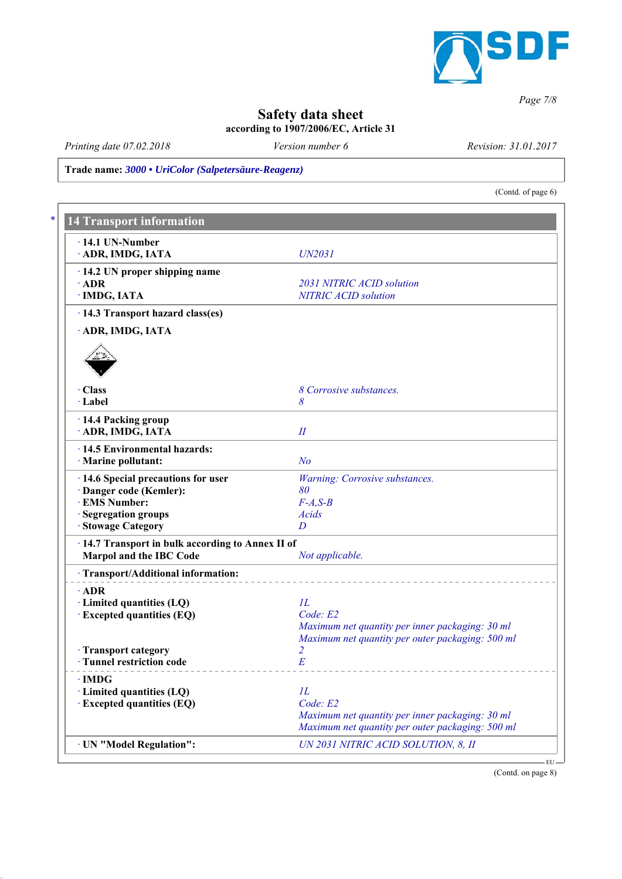

## *Page 7/8*

## **Safety data sheet**

**according to 1907/2006/EC, Article 31**

*Printing date 07.02.2018 Revision: 31.01.2017 Version number 6*

**Trade name:** *3000 • UriColor (Salpetersäure-Reagenz)*

(Contd. of page 6)

| $\cdot$ 14.1 UN-Number                            |                                                                                                     |
|---------------------------------------------------|-----------------------------------------------------------------------------------------------------|
| · ADR, IMDG, IATA                                 | UN2031                                                                                              |
| $\cdot$ 14.2 UN proper shipping name              |                                                                                                     |
| $\cdot$ ADR                                       | 2031 NITRIC ACID solution                                                                           |
| · IMDG, IATA                                      | <b>NITRIC ACID solution</b>                                                                         |
| · 14.3 Transport hazard class(es)                 |                                                                                                     |
| · ADR, IMDG, IATA                                 |                                                                                                     |
| · Class                                           | 8 Corrosive substances.                                                                             |
| · Label                                           | 8                                                                                                   |
| · 14.4 Packing group                              |                                                                                                     |
| · ADR, IMDG, IATA                                 | II                                                                                                  |
| · 14.5 Environmental hazards:                     |                                                                                                     |
| · Marine pollutant:                               | N <sub>o</sub>                                                                                      |
| · 14.6 Special precautions for user               | Warning: Corrosive substances.                                                                      |
| · Danger code (Kemler):                           | 80                                                                                                  |
| · EMS Number:                                     | $F-A, S-B$                                                                                          |
| Segregation groups                                | Acids                                                                                               |
| · Stowage Category                                | D                                                                                                   |
| · 14.7 Transport in bulk according to Annex II of |                                                                                                     |
| Marpol and the IBC Code                           | Not applicable.                                                                                     |
| · Transport/Additional information:               |                                                                                                     |
| $\cdot$ ADR                                       |                                                                                                     |
| · Limited quantities (LQ)                         | IL                                                                                                  |
| <b>Excepted quantities (EQ)</b>                   | Code: E2                                                                                            |
|                                                   | Maximum net quantity per inner packaging: 30 ml<br>Maximum net quantity per outer packaging: 500 ml |
| · Transport category                              | $\overline{2}$                                                                                      |
| · Tunnel restriction code                         | E                                                                                                   |
|                                                   |                                                                                                     |
| $\cdot$ IMDG<br>$\cdot$ Limited quantities (LQ)   | IL                                                                                                  |
| $\cdot$ Excepted quantities (EQ)                  | Code: E2                                                                                            |
|                                                   | Maximum net quantity per inner packaging: 30 ml                                                     |
|                                                   | Maximum net quantity per outer packaging: 500 ml                                                    |
| · UN "Model Regulation":                          | UN 2031 NITRIC ACID SOLUTION, 8, II                                                                 |

(Contd. on page 8)